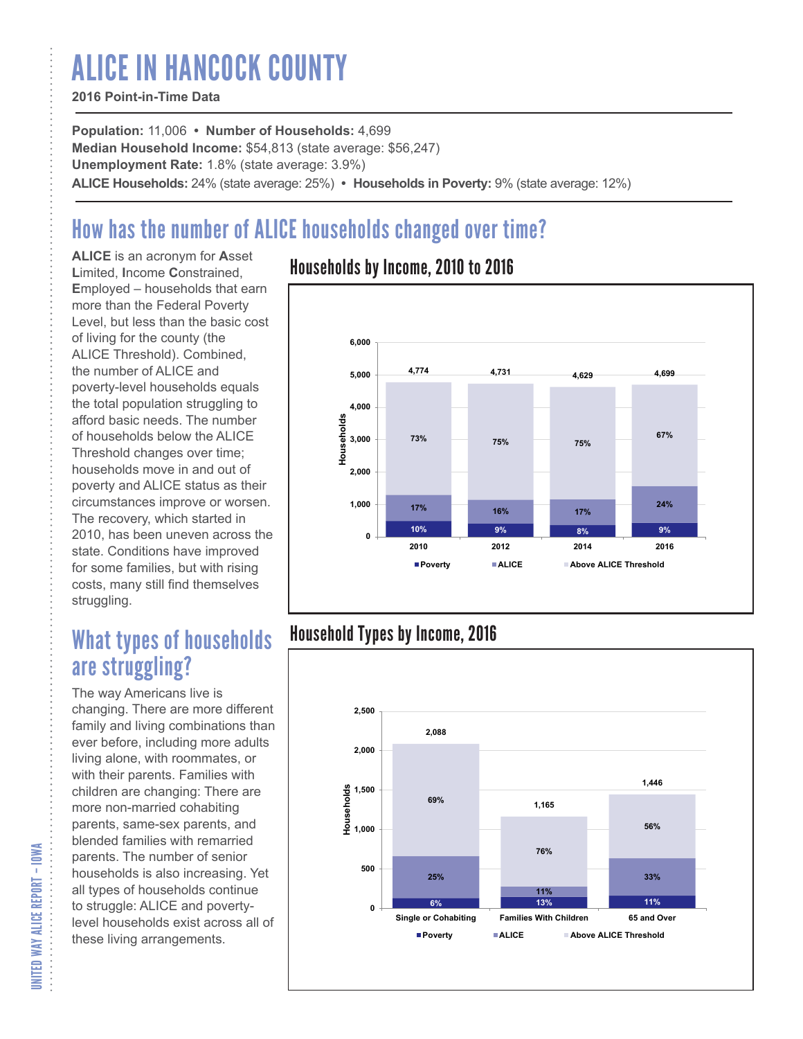# ALICE IN HANCOCK COUNTY

### **2016 Point-in-Time Data**

**Population:** 11,006 **• Number of Households:** 4,699 **Median Household Income:** \$54,813 (state average: \$56,247) **Unemployment Rate:** 1.8% (state average: 3.9%) **ALICE Households:** 24% (state average: 25%) **• Households in Poverty:** 9% (state average: 12%)

# How has the number of ALICE households changed over time?

**ALICE** is an acronym for **A**sset **L**imited, **I**ncome **C**onstrained, **E**mployed – households that earn more than the Federal Poverty Level, but less than the basic cost of living for the county (the ALICE Threshold). Combined, the number of ALICE and poverty-level households equals the total population struggling to afford basic needs. The number of households below the ALICE Threshold changes over time; households move in and out of poverty and ALICE status as their circumstances improve or worsen. The recovery, which started in 2010, has been uneven across the state. Conditions have improved for some families, but with rising costs, many still find themselves struggling.

## What types of households are struggling?

The way Americans live is changing. There are more different family and living combinations than ever before, including more adults living alone, with roommates, or with their parents. Families with children are changing: There are more non-married cohabiting parents, same-sex parents, and blended families with remarried parents. The number of senior households is also increasing. Yet all types of households continue to struggle: ALICE and povertylevel households exist across all of these living arrangements.

### Households by Income, 2010 to 2016



### Household Types by Income, 2016